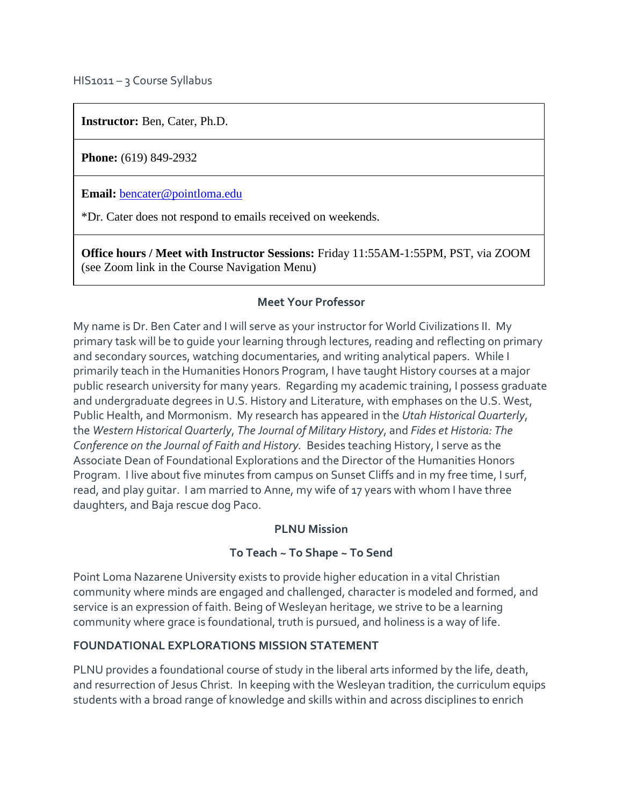HIS1011 – 3 Course Syllabus

**Instructor:** Ben, Cater, Ph.D.

**Phone:** (619) 849-2932

**Email:** [bencater@pointloma.edu](mailto:bencater@pointloma.edu)

\*Dr. Cater does not respond to emails received on weekends.

**Office hours / Meet with Instructor Sessions:** Friday 11:55AM-1:55PM, PST, via ZOOM (see Zoom link in the Course Navigation Menu)

#### **Meet Your Professor**

My name is Dr. Ben Cater and I will serve as your instructor for World Civilizations II. My primary task will be to guide your learning through lectures, reading and reflecting on primary and secondary sources, watching documentaries, and writing analytical papers. While I primarily teach in the Humanities Honors Program, I have taught History courses at a major public research university for many years. Regarding my academic training, I possess graduate and undergraduate degrees in U.S. History and Literature, with emphases on the U.S. West, Public Health, and Mormonism. My research has appeared in the *Utah Historical Quarterly*, the *Western Historical Quarterly*, *The Journal of Military History*, and *Fides et Historia: The Conference on the Journal of Faith and History.* Besides teaching History, I serve as the Associate Dean of Foundational Explorations and the Director of the Humanities Honors Program. I live about five minutes from campus on Sunset Cliffs and in my free time, I surf, read, and play guitar. I am married to Anne, my wife of 17 years with whom I have three daughters, and Baja rescue dog Paco.

### **PLNU Mission**

### **To Teach ~ To Shape ~ To Send**

Point Loma Nazarene University exists to provide higher education in a vital Christian community where minds are engaged and challenged, character is modeled and formed, and service is an expression of faith. Being of Wesleyan heritage, we strive to be a learning community where grace is foundational, truth is pursued, and holiness is a way of life.

### **FOUNDATIONAL EXPLORATIONS MISSION STATEMENT**

PLNU provides a foundational course of study in the liberal arts informed by the life, death, and resurrection of Jesus Christ. In keeping with the Wesleyan tradition, the curriculum equips students with a broad range of knowledge and skills within and across disciplines to enrich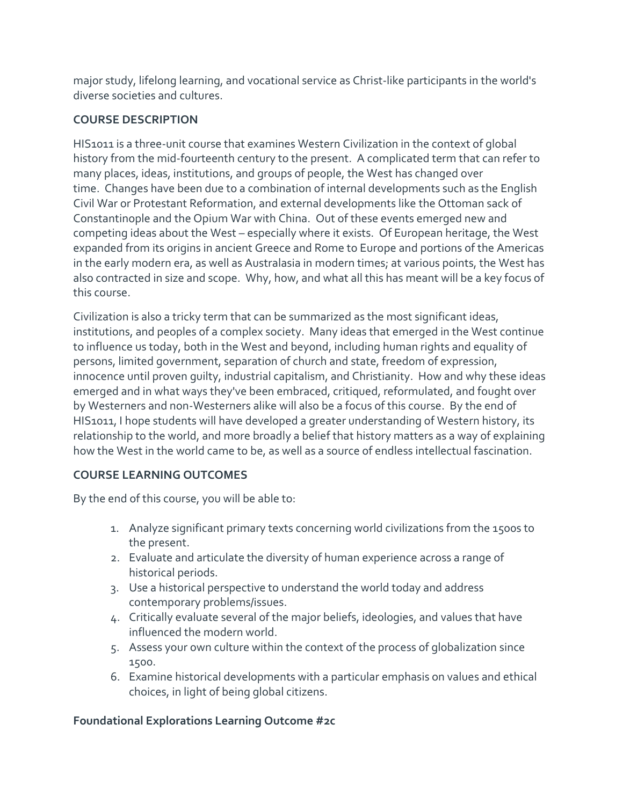major study, lifelong learning, and vocational service as Christ-like participants in the world's diverse societies and cultures.

# **COURSE DESCRIPTION**

HIS1011 is a three-unit course that examines Western Civilization in the context of global history from the mid-fourteenth century to the present. A complicated term that can refer to many places, ideas, institutions, and groups of people, the West has changed over time. Changes have been due to a combination of internal developments such as the English Civil War or Protestant Reformation, and external developments like the Ottoman sack of Constantinople and the Opium War with China. Out of these events emerged new and competing ideas about the West – especially where it exists. Of European heritage, the West expanded from its origins in ancient Greece and Rome to Europe and portions of the Americas in the early modern era, as well as Australasia in modern times; at various points, the West has also contracted in size and scope. Why, how, and what all this has meant will be a key focus of this course.

Civilization is also a tricky term that can be summarized as the most significant ideas, institutions, and peoples of a complex society. Many ideas that emerged in the West continue to influence us today, both in the West and beyond, including human rights and equality of persons, limited government, separation of church and state, freedom of expression, innocence until proven guilty, industrial capitalism, and Christianity. How and why these ideas emerged and in what ways they've been embraced, critiqued, reformulated, and fought over by Westerners and non-Westerners alike will also be a focus of this course. By the end of HIS1011, I hope students will have developed a greater understanding of Western history, its relationship to the world, and more broadly a belief that history matters as a way of explaining how the West in the world came to be, as well as a source of endless intellectual fascination.

# **COURSE LEARNING OUTCOMES**

By the end of this course, you will be able to:

- 1. Analyze significant primary texts concerning world civilizations from the 1500s to the present.
- 2. Evaluate and articulate the diversity of human experience across a range of historical periods.
- 3. Use a historical perspective to understand the world today and address contemporary problems/issues.
- 4. Critically evaluate several of the major beliefs, ideologies, and values that have influenced the modern world.
- 5. Assess your own culture within the context of the process of globalization since 1500.
- 6. Examine historical developments with a particular emphasis on values and ethical choices, in light of being global citizens.

# **Foundational Explorations Learning Outcome #2c**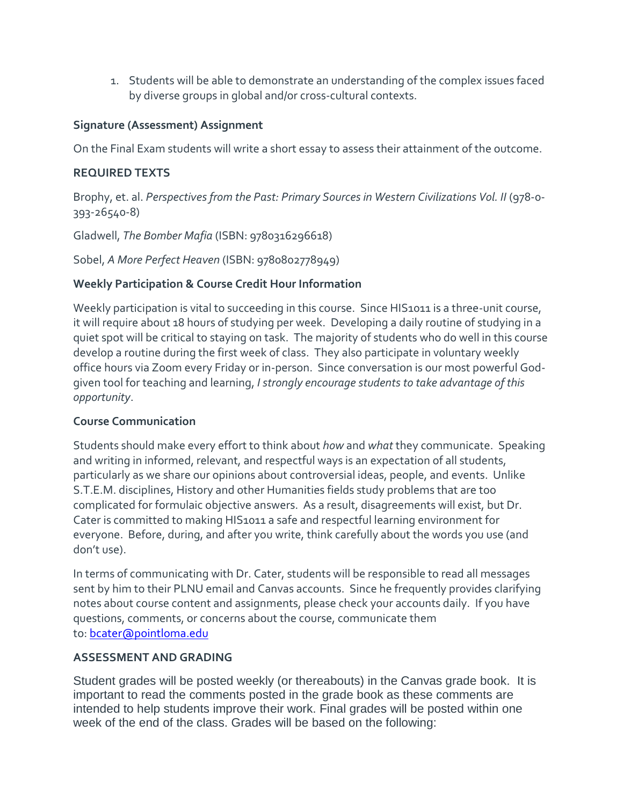1. Students will be able to demonstrate an understanding of the complex issues faced by diverse groups in global and/or cross-cultural contexts.

### **Signature (Assessment) Assignment**

On the Final Exam students will write a short essay to assess their attainment of the outcome.

### **REQUIRED TEXTS**

Brophy, et. al. *Perspectives from the Past: Primary Sources in Western Civilizations Vol. II* (978-0- 393-26540-8)

Gladwell, *The Bomber Mafia* (ISBN: 9780316296618)

Sobel, *A More Perfect Heaven* (ISBN: 9780802778949)

### **Weekly Participation & Course Credit Hour Information**

Weekly participation is vital to succeeding in this course. Since HIS1011 is a three-unit course, it will require about 18 hours of studying per week. Developing a daily routine of studying in a quiet spot will be critical to staying on task. The majority of students who do well in this course develop a routine during the first week of class. They also participate in voluntary weekly office hours via Zoom every Friday or in-person. Since conversation is our most powerful Godgiven tool for teaching and learning, *I strongly encourage students to take advantage of this opportunity*.

### **Course Communication**

Students should make every effort to think about *how* and *what* they communicate. Speaking and writing in informed, relevant, and respectful ways is an expectation of all students, particularly as we share our opinions about controversial ideas, people, and events. Unlike S.T.E.M. disciplines, History and other Humanities fields study problems that are too complicated for formulaic objective answers. As a result, disagreements will exist, but Dr. Cater is committed to making HIS1011 a safe and respectful learning environment for everyone. Before, during, and after you write, think carefully about the words you use (and don't use).

In terms of communicating with Dr. Cater, students will be responsible to read all messages sent by him to their PLNU email and Canvas accounts. Since he frequently provides clarifying notes about course content and assignments, please check your accounts daily. If you have questions, comments, or concerns about the course, communicate them to: [bcater@pointloma.edu](mailto:bcater@pointloma.edu)

### **ASSESSMENT AND GRADING**

Student grades will be posted weekly (or thereabouts) in the Canvas grade book. It is important to read the comments posted in the grade book as these comments are intended to help students improve their work. Final grades will be posted within one week of the end of the class. Grades will be based on the following: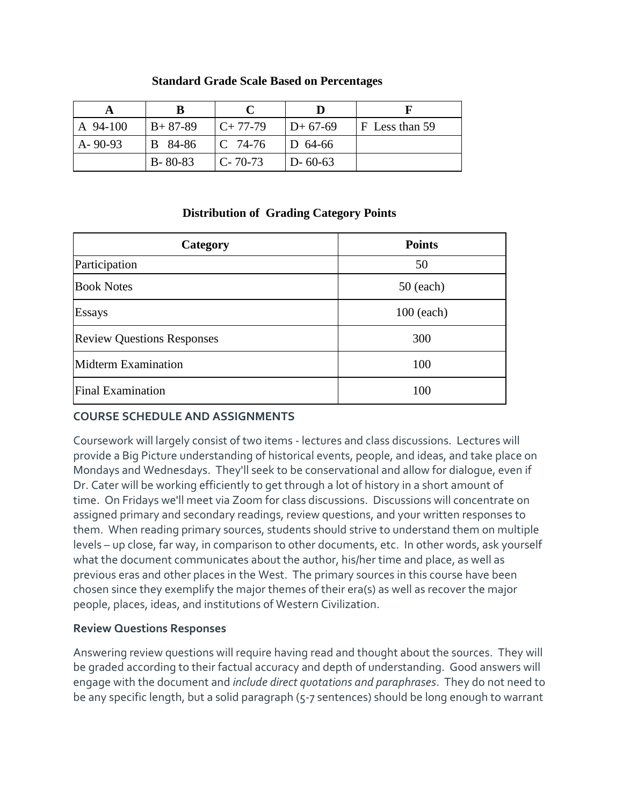| <b>Standard Grade Scale Based on Percentages</b> |  |
|--------------------------------------------------|--|
|--------------------------------------------------|--|

| A 94-100      | $B+87-89$     | $C+77-79$     | $D+67-69$     | $F$ Less than 59 |
|---------------|---------------|---------------|---------------|------------------|
| $A - 90 - 93$ | B 84-86       | IC 74-76      | $D$ 64-66     |                  |
|               | $B - 80 - 83$ | $C - 70 - 73$ | $D - 60 - 63$ |                  |

### **Distribution of Grading Category Points**

| Category                          | <b>Points</b> |
|-----------------------------------|---------------|
| Participation                     | 50            |
| <b>Book Notes</b>                 | $50$ (each)   |
| Essays                            | $100$ (each)  |
| <b>Review Questions Responses</b> | 300           |
| Midterm Examination               | 100           |
| Final Examination                 | 100           |

### **COURSE SCHEDULE AND ASSIGNMENTS**

Coursework will largely consist of two items - lectures and class discussions. Lectures will provide a Big Picture understanding of historical events, people, and ideas, and take place on Mondays and Wednesdays. They'll seek to be conservational and allow for dialogue, even if Dr. Cater will be working efficiently to get through a lot of history in a short amount of time. On Fridays we'll meet via Zoom for class discussions. Discussions will concentrate on assigned primary and secondary readings, review questions, and your written responses to them. When reading primary sources, students should strive to understand them on multiple levels – up close, far way, in comparison to other documents, etc. In other words, ask yourself what the document communicates about the author, his/her time and place, as well as previous eras and other places in the West. The primary sources in this course have been chosen since they exemplify the major themes of their era(s) as well as recover the major people, places, ideas, and institutions of Western Civilization.

### **Review Questions Responses**

Answering review questions will require having read and thought about the sources. They will be graded according to their factual accuracy and depth of understanding. Good answers will engage with the document and *include direct quotations and paraphrases*. They do not need to be any specific length, but a solid paragraph (5-7 sentences) should be long enough to warrant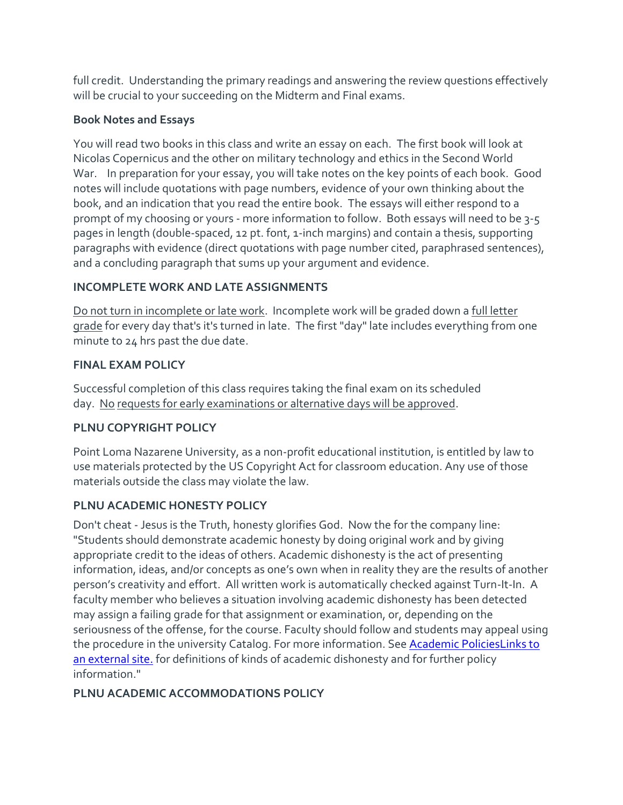full credit. Understanding the primary readings and answering the review questions effectively will be crucial to your succeeding on the Midterm and Final exams.

### **Book Notes and Essays**

You will read two books in this class and write an essay on each. The first book will look at Nicolas Copernicus and the other on military technology and ethics in the Second World War. In preparation for your essay, you will take notes on the key points of each book. Good notes will include quotations with page numbers, evidence of your own thinking about the book, and an indication that you read the entire book. The essays will either respond to a prompt of my choosing or yours - more information to follow. Both essays will need to be 3-5 pages in length (double-spaced, 12 pt. font, 1-inch margins) and contain a thesis, supporting paragraphs with evidence (direct quotations with page number cited, paraphrased sentences), and a concluding paragraph that sums up your argument and evidence.

# **INCOMPLETE WORK AND LATE ASSIGNMENTS**

Do not turn in incomplete or late work. Incomplete work will be graded down a full letter grade for every day that's it's turned in late. The first "day" late includes everything from one minute to 24 hrs past the due date.

# **FINAL EXAM POLICY**

Successful completion of this class requires taking the final exam on its scheduled day. No requests for early examinations or alternative days will be approved.

# **PLNU COPYRIGHT POLICY**

Point Loma Nazarene University, as a non-profit educational institution, is entitled by law to use materials protected by the US Copyright Act for classroom education. Any use of those materials outside the class may violate the law.

# **PLNU ACADEMIC HONESTY POLICY**

Don't cheat - Jesus is the Truth, honesty glorifies God. Now the for the company line: "Students should demonstrate academic honesty by doing original work and by giving appropriate credit to the ideas of others. Academic dishonesty is the act of presenting information, ideas, and/or concepts as one's own when in reality they are the results of another person's creativity and effort. All written work is automatically checked against Turn-It-In. A faculty member who believes a situation involving academic dishonesty has been detected may assign a failing grade for that assignment or examination, or, depending on the seriousness of the offense, for the course. Faculty should follow and students may appeal using the procedure in the university Catalog. For more information. See [Academic PoliciesLinks](http://catalog.pointloma.edu/content.php?catoid=18&navoid=1278) to an [external](http://catalog.pointloma.edu/content.php?catoid=18&navoid=1278) site. for definitions of kinds of academic dishonesty and for further policy information."

# **PLNU ACADEMIC ACCOMMODATIONS POLICY**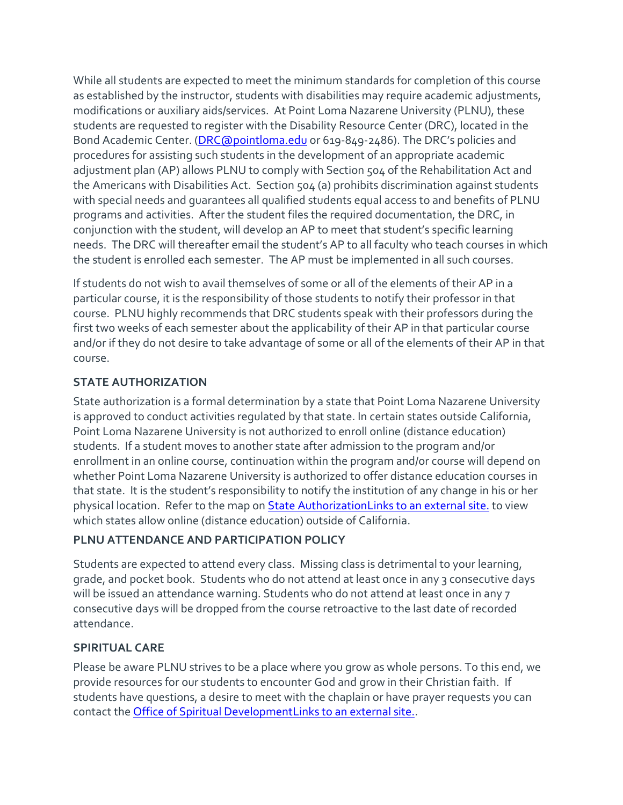While all students are expected to meet the minimum standards for completion of this course as established by the instructor, students with disabilities may require academic adjustments, modifications or auxiliary aids/services. At Point Loma Nazarene University (PLNU), these students are requested to register with the Disability Resource Center (DRC), located in the Bond Academic Center. [\(DRC@pointloma.edu](mailto:DRC@pointloma.edu) or 619-849-2486). The DRC's policies and procedures for assisting such students in the development of an appropriate academic adjustment plan (AP) allows PLNU to comply with Section 504 of the Rehabilitation Act and the Americans with Disabilities Act. Section 504 (a) prohibits discrimination against students with special needs and guarantees all qualified students equal access to and benefits of PLNU programs and activities. After the student files the required documentation, the DRC, in conjunction with the student, will develop an AP to meet that student's specific learning needs. The DRC will thereafter email the student's AP to all faculty who teach courses in which the student is enrolled each semester. The AP must be implemented in all such courses.

If students do not wish to avail themselves of some or all of the elements of their AP in a particular course, it is the responsibility of those students to notify their professor in that course. PLNU highly recommends that DRC students speak with their professors during the first two weeks of each semester about the applicability of their AP in that particular course and/or if they do not desire to take advantage of some or all of the elements of their AP in that course.

### **STATE AUTHORIZATION**

State authorization is a formal determination by a state that Point Loma Nazarene University is approved to conduct activities regulated by that state. In certain states outside California, Point Loma Nazarene University is not authorized to enroll online (distance education) students. If a student moves to another state after admission to the program and/or enrollment in an online course, continuation within the program and/or course will depend on whether Point Loma Nazarene University is authorized to offer distance education courses in that state. It is the student's responsibility to notify the institution of any change in his or her physical location. Refer to the map on [State AuthorizationLinks](https://www.pointloma.edu/offices/office-institutional-effectiveness-research/disclosures) to an external site. to view which states allow online (distance education) outside of California.

### **PLNU ATTENDANCE AND PARTICIPATION POLICY**

Students are expected to attend every class. Missing class is detrimental to your learning, grade, and pocket book. Students who do not attend at least once in any 3 consecutive days will be issued an attendance warning. Students who do not attend at least once in any 7 consecutive days will be dropped from the course retroactive to the last date of recorded attendance.

### **SPIRITUAL CARE**

Please be aware PLNU strives to be a place where you grow as whole persons. To this end, we provide resources for our students to encounter God and grow in their Christian faith. If students have questions, a desire to meet with the chaplain or have prayer requests you can contact the [Office of Spiritual DevelopmentLinks](https://www.pointloma.edu/offices/spiritual-development) to an external site..